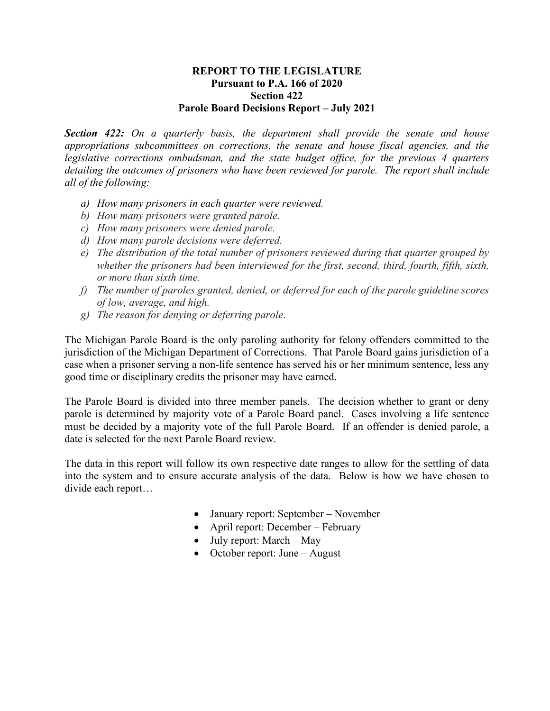## **REPORT TO THE LEGISLATURE Pursuant to P.A. 166 of 2020 Section 422 Parole Board Decisions Report – July 2021**

*Section 422: On a quarterly basis, the department shall provide the senate and house appropriations subcommittees on corrections, the senate and house fiscal agencies, and the legislative corrections ombudsman, and the state budget office, for the previous 4 quarters detailing the outcomes of prisoners who have been reviewed for parole. The report shall include all of the following:* 

- *a) How many prisoners in each quarter were reviewed.*
- *b) How many prisoners were granted parole.*
- *c) How many prisoners were denied parole.*
- *d) How many parole decisions were deferred.*
- *e) The distribution of the total number of prisoners reviewed during that quarter grouped by whether the prisoners had been interviewed for the first, second, third, fourth, fifth, sixth, or more than sixth time.*
- *f) The number of paroles granted, denied, or deferred for each of the parole guideline scores of low, average, and high.*
- *g) The reason for denying or deferring parole.*

The Michigan Parole Board is the only paroling authority for felony offenders committed to the jurisdiction of the Michigan Department of Corrections. That Parole Board gains jurisdiction of a case when a prisoner serving a non-life sentence has served his or her minimum sentence, less any good time or disciplinary credits the prisoner may have earned.

The Parole Board is divided into three member panels. The decision whether to grant or deny parole is determined by majority vote of a Parole Board panel. Cases involving a life sentence must be decided by a majority vote of the full Parole Board. If an offender is denied parole, a date is selected for the next Parole Board review.

The data in this report will follow its own respective date ranges to allow for the settling of data into the system and to ensure accurate analysis of the data. Below is how we have chosen to divide each report…

- January report: September November
- April report: December February
- July report: March May
- October report: June August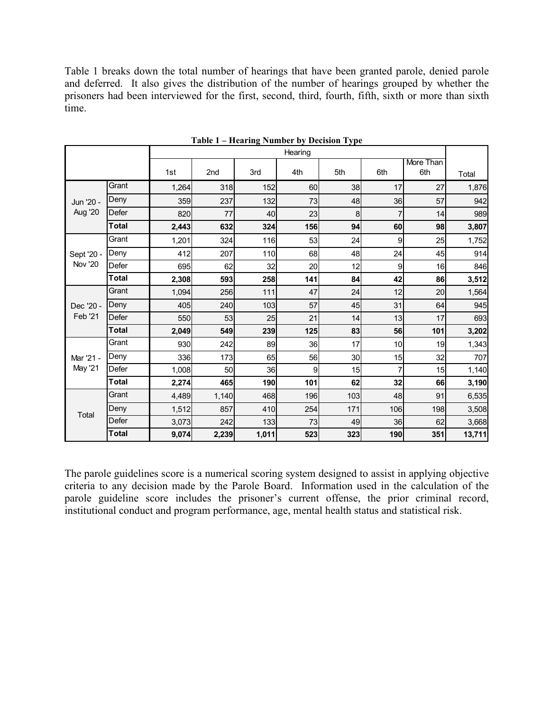Table 1 breaks down the total number of hearings that have been granted parole, denied parole and deferred. It also gives the distribution of the number of hearings grouped by whether the prisoners had been interviewed for the first, second, third, fourth, fifth, sixth or more than sixth time.

|                              |              | Hearing |       |       |     |     |     |                  |        |
|------------------------------|--------------|---------|-------|-------|-----|-----|-----|------------------|--------|
|                              |              | 1st     | 2nd   | 3rd   | 4th | 5th | 6th | More Than<br>6th | Total  |
| Jun '20 -<br><b>Aug '20</b>  | Grant        | 1,264   | 318   | 152   | 60  | 38  | 17  | 27               | 1,876  |
|                              | Deny         | 359     | 237   | 132   | 73  | 48  | 36  | 57               | 942    |
|                              | Defer        | 820     | 77    | 40    | 23  | 8   |     | 14               | 989    |
|                              | <b>Total</b> | 2,443   | 632   | 324   | 156 | 94  | 60  | 98               | 3,807  |
| Sept '20 -<br><b>Nov '20</b> | Grant        | 1,201   | 324   | 116   | 53  | 24  | 9   | 25               | 1,752  |
|                              | Deny         | 412     | 207   | 110   | 68  | 48  | 24  | 45               | 914    |
|                              | Defer        | 695     | 62    | 32    | 20  | 12  | 9   | 16               | 846    |
|                              | <b>Total</b> | 2,308   | 593   | 258   | 141 | 84  | 42  | 86               | 3,512  |
| Dec '20 -<br>Feb '21         | Grant        | 1,094   | 256   | 111   | 47  | 24  | 12  | 20               | 1,564  |
|                              | Deny         | 405     | 240   | 103   | 57  | 45  | 31  | 64               | 945    |
|                              | Defer        | 550     | 53    | 25    | 21  | 14  | 13  | 17               | 693    |
|                              | <b>Total</b> | 2,049   | 549   | 239   | 125 | 83  | 56  | 101              | 3,202  |
| Mar '21 -<br>May '21         | Grant        | 930     | 242   | 89    | 36  | 17  | 10  | 19               | 1,343  |
|                              | Deny         | 336     | 173   | 65    | 56  | 30  | 15  | 32               | 707    |
|                              | Defer        | 1,008   | 50    | 36    | 9   | 15  | 7   | 15               | 1,140  |
|                              | <b>Total</b> | 2,274   | 465   | 190   | 101 | 62  | 32  | 66               | 3,190  |
| Total                        | Grant        | 4,489   | 1,140 | 468   | 196 | 103 | 48  | 91               | 6,535  |
|                              | Deny         | 1,512   | 857   | 410   | 254 | 171 | 106 | 198              | 3,508  |
|                              | Defer        | 3,073   | 242   | 133   | 73  | 49  | 36  | 62               | 3,668  |
|                              | <b>Total</b> | 9,074   | 2,239 | 1,011 | 523 | 323 | 190 | 351              | 13,711 |

**Table 1 – Hearing Number by Decision Type**

The parole guidelines score is a numerical scoring system designed to assist in applying objective criteria to any decision made by the Parole Board. Information used in the calculation of the parole guideline score includes the prisoner's current offense, the prior criminal record, institutional conduct and program performance, age, mental health status and statistical risk.